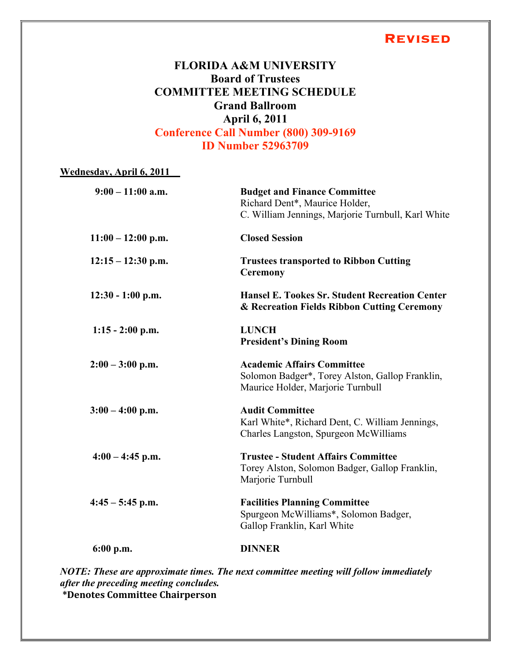### **Revised**

# **FLORIDA A&M UNIVERSITY Board of Trustees COMMITTEE MEETING SCHEDULE Grand Ballroom April 6, 2011 Conference Call Number (800) 309-9169 ID Number 52963709**

#### **Wednesday, April 6, 2011**

| $9:00 - 11:00$ a.m.  | <b>Budget and Finance Committee</b><br>Richard Dent*, Maurice Holder,<br>C. William Jennings, Marjorie Turnbull, Karl White |
|----------------------|-----------------------------------------------------------------------------------------------------------------------------|
| $11:00 - 12:00$ p.m. | <b>Closed Session</b>                                                                                                       |
| $12:15 - 12:30$ p.m. | <b>Trustees transported to Ribbon Cutting</b><br><b>Ceremony</b>                                                            |
| $12:30 - 1:00$ p.m.  | <b>Hansel E. Tookes Sr. Student Recreation Center</b><br>& Recreation Fields Ribbon Cutting Ceremony                        |
| $1:15 - 2:00$ p.m.   | <b>LUNCH</b><br><b>President's Dining Room</b>                                                                              |
| $2:00 - 3:00$ p.m.   | <b>Academic Affairs Committee</b><br>Solomon Badger*, Torey Alston, Gallop Franklin,<br>Maurice Holder, Marjorie Turnbull   |
| $3:00 - 4:00$ p.m.   | <b>Audit Committee</b><br>Karl White*, Richard Dent, C. William Jennings,<br>Charles Langston, Spurgeon McWilliams          |
| $4:00 - 4:45$ p.m.   | <b>Trustee - Student Affairs Committee</b><br>Torey Alston, Solomon Badger, Gallop Franklin,<br>Marjorie Turnbull           |
| $4:45 - 5:45$ p.m.   | <b>Facilities Planning Committee</b><br>Spurgeon McWilliams*, Solomon Badger,<br>Gallop Franklin, Karl White                |
| $6:00$ p.m.          | <b>DINNER</b>                                                                                                               |
|                      |                                                                                                                             |

*NOTE: These are approximate times. The next committee meeting will follow immediately after the preceding meeting concludes.* **\*Denotes
Committee
Chairperson**